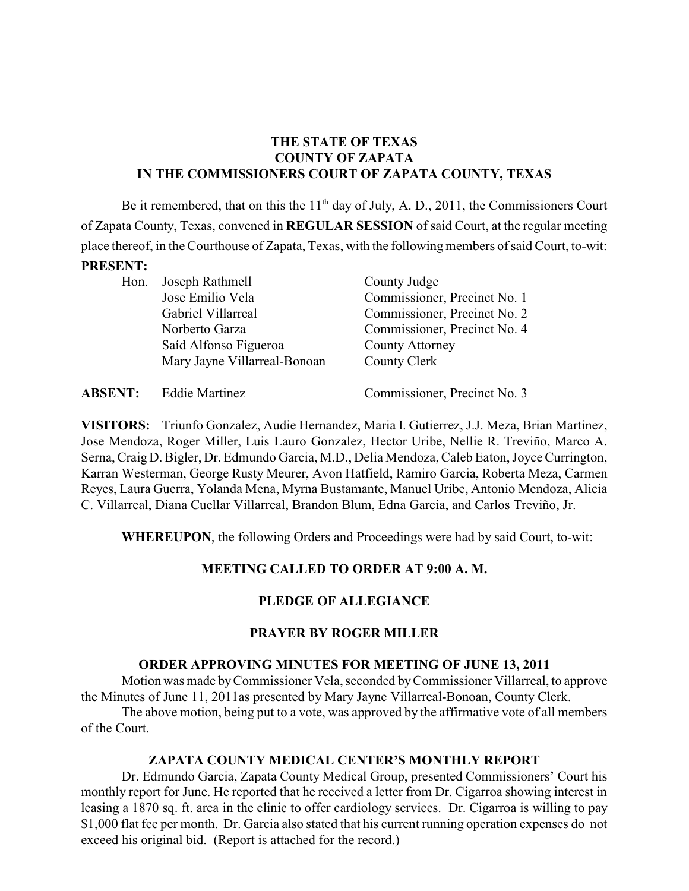## **THE STATE OF TEXAS COUNTY OF ZAPATA IN THE COMMISSIONERS COURT OF ZAPATA COUNTY, TEXAS**

Be it remembered, that on this the  $11<sup>th</sup>$  day of July, A. D., 2011, the Commissioners Court of Zapata County, Texas, convened in **REGULAR SESSION** of said Court, at the regular meeting place thereof, in the Courthouse of Zapata, Texas, with the following members of said Court, to-wit:

#### **PRESENT:**

| Hon. | Joseph Rathmell              | County Judge                 |
|------|------------------------------|------------------------------|
|      | Jose Emilio Vela             | Commissioner, Precinct No. 1 |
|      | Gabriel Villarreal           | Commissioner, Precinct No. 2 |
|      | Norberto Garza               | Commissioner, Precinct No. 4 |
|      | Saíd Alfonso Figueroa        | <b>County Attorney</b>       |
|      | Mary Jayne Villarreal-Bonoan | County Clerk                 |
|      |                              |                              |

| <b>ABSENT:</b> | <b>Eddie Martinez</b> | Commissioner, Precinct No. 3 |
|----------------|-----------------------|------------------------------|
|----------------|-----------------------|------------------------------|

**VISITORS:** Triunfo Gonzalez, Audie Hernandez, Maria I. Gutierrez, J.J. Meza, Brian Martinez, Jose Mendoza, Roger Miller, Luis Lauro Gonzalez, Hector Uribe, Nellie R. Treviño, Marco A. Serna, Craig D. Bigler, Dr. Edmundo Garcia, M.D., Delia Mendoza, Caleb Eaton, Joyce Currington, Karran Westerman, George Rusty Meurer, Avon Hatfield, Ramiro Garcia, Roberta Meza, Carmen Reyes, Laura Guerra, Yolanda Mena, Myrna Bustamante, Manuel Uribe, Antonio Mendoza, Alicia C. Villarreal, Diana Cuellar Villarreal, Brandon Blum, Edna Garcia, and Carlos Treviño, Jr.

**WHEREUPON**, the following Orders and Proceedings were had by said Court, to-wit:

## **MEETING CALLED TO ORDER AT 9:00 A. M.**

### **PLEDGE OF ALLEGIANCE**

#### **PRAYER BY ROGER MILLER**

### **ORDER APPROVING MINUTES FOR MEETING OF JUNE 13, 2011**

Motion was made byCommissioner Vela, seconded byCommissioner Villarreal, to approve the Minutes of June 11, 2011as presented by Mary Jayne Villarreal-Bonoan, County Clerk.

The above motion, being put to a vote, was approved by the affirmative vote of all members of the Court.

### **ZAPATA COUNTY MEDICAL CENTER'S MONTHLY REPORT**

Dr. Edmundo Garcia, Zapata County Medical Group, presented Commissioners' Court his monthly report for June. He reported that he received a letter from Dr. Cigarroa showing interest in leasing a 1870 sq. ft. area in the clinic to offer cardiology services. Dr. Cigarroa is willing to pay \$1,000 flat fee per month. Dr. Garcia also stated that his current running operation expenses do not exceed his original bid. (Report is attached for the record.)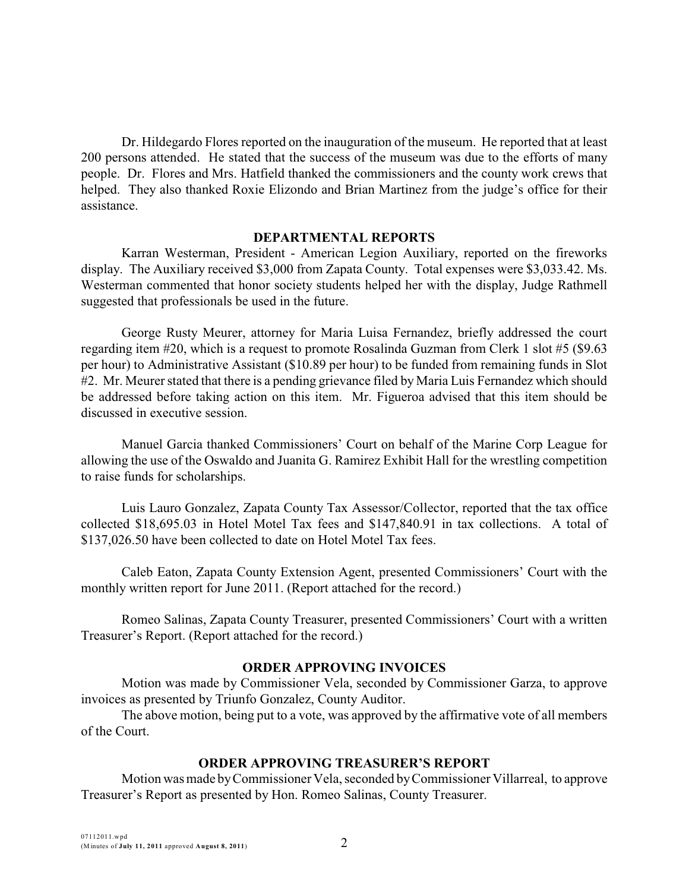Dr. Hildegardo Flores reported on the inauguration of the museum. He reported that at least 200 persons attended. He stated that the success of the museum was due to the efforts of many people. Dr. Flores and Mrs. Hatfield thanked the commissioners and the county work crews that helped. They also thanked Roxie Elizondo and Brian Martinez from the judge's office for their assistance.

#### **DEPARTMENTAL REPORTS**

Karran Westerman, President - American Legion Auxiliary, reported on the fireworks display. The Auxiliary received \$3,000 from Zapata County. Total expenses were \$3,033.42. Ms. Westerman commented that honor society students helped her with the display, Judge Rathmell suggested that professionals be used in the future.

George Rusty Meurer, attorney for Maria Luisa Fernandez, briefly addressed the court regarding item #20, which is a request to promote Rosalinda Guzman from Clerk 1 slot #5 (\$9.63 per hour) to Administrative Assistant (\$10.89 per hour) to be funded from remaining funds in Slot #2. Mr. Meurer stated that there is a pending grievance filed by Maria Luis Fernandez which should be addressed before taking action on this item. Mr. Figueroa advised that this item should be discussed in executive session.

Manuel Garcia thanked Commissioners' Court on behalf of the Marine Corp League for allowing the use of the Oswaldo and Juanita G. Ramirez Exhibit Hall for the wrestling competition to raise funds for scholarships.

Luis Lauro Gonzalez, Zapata County Tax Assessor/Collector, reported that the tax office collected \$18,695.03 in Hotel Motel Tax fees and \$147,840.91 in tax collections. A total of \$137,026.50 have been collected to date on Hotel Motel Tax fees.

Caleb Eaton, Zapata County Extension Agent, presented Commissioners' Court with the monthly written report for June 2011. (Report attached for the record.)

Romeo Salinas, Zapata County Treasurer, presented Commissioners' Court with a written Treasurer's Report. (Report attached for the record.)

### **ORDER APPROVING INVOICES**

Motion was made by Commissioner Vela, seconded by Commissioner Garza, to approve invoices as presented by Triunfo Gonzalez, County Auditor.

The above motion, being put to a vote, was approved by the affirmative vote of all members of the Court.

#### **ORDER APPROVING TREASURER'S REPORT**

Motion was made byCommissioner Vela, seconded byCommissioner Villarreal, to approve Treasurer's Report as presented by Hon. Romeo Salinas, County Treasurer.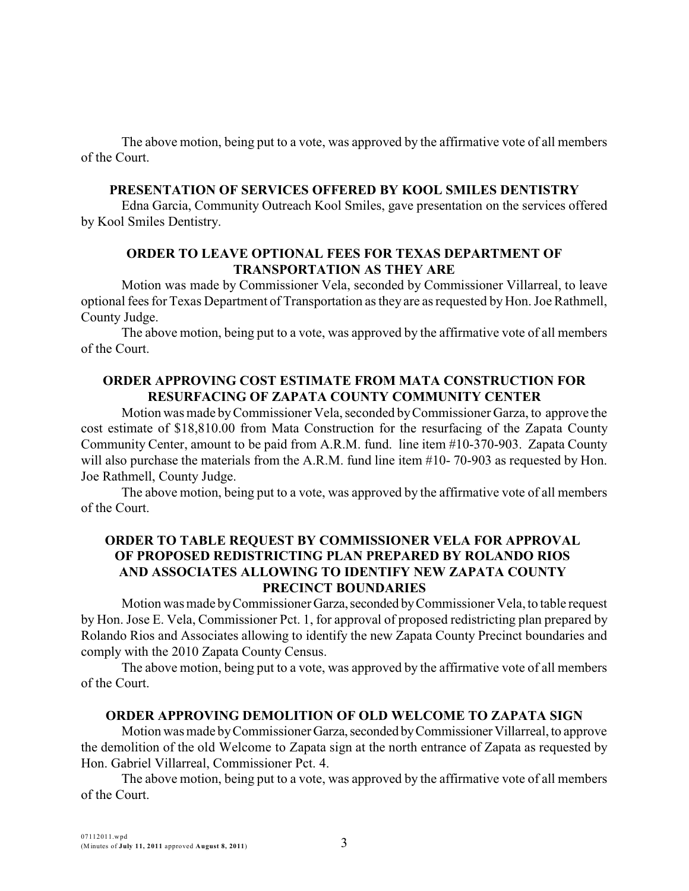The above motion, being put to a vote, was approved by the affirmative vote of all members of the Court.

#### **PRESENTATION OF SERVICES OFFERED BY KOOL SMILES DENTISTRY**

Edna Garcia, Community Outreach Kool Smiles, gave presentation on the services offered by Kool Smiles Dentistry.

### **ORDER TO LEAVE OPTIONAL FEES FOR TEXAS DEPARTMENT OF TRANSPORTATION AS THEY ARE**

Motion was made by Commissioner Vela, seconded by Commissioner Villarreal, to leave optional fees for Texas Department of Transportation as they are as requested by Hon. Joe Rathmell, County Judge.

The above motion, being put to a vote, was approved by the affirmative vote of all members of the Court.

### **ORDER APPROVING COST ESTIMATE FROM MATA CONSTRUCTION FOR RESURFACING OF ZAPATA COUNTY COMMUNITY CENTER**

Motion was made byCommissioner Vela, seconded byCommissioner Garza, to approve the cost estimate of \$18,810.00 from Mata Construction for the resurfacing of the Zapata County Community Center, amount to be paid from A.R.M. fund. line item #10-370-903. Zapata County will also purchase the materials from the A.R.M. fund line item #10- 70-903 as requested by Hon. Joe Rathmell, County Judge.

The above motion, being put to a vote, was approved by the affirmative vote of all members of the Court.

# **ORDER TO TABLE REQUEST BY COMMISSIONER VELA FOR APPROVAL OF PROPOSED REDISTRICTING PLAN PREPARED BY ROLANDO RIOS AND ASSOCIATES ALLOWING TO IDENTIFY NEW ZAPATA COUNTY PRECINCT BOUNDARIES**

Motion was made by Commissioner Garza, seconded by Commissioner Vela, to table request by Hon. Jose E. Vela, Commissioner Pct. 1, for approval of proposed redistricting plan prepared by Rolando Rios and Associates allowing to identify the new Zapata County Precinct boundaries and comply with the 2010 Zapata County Census.

The above motion, being put to a vote, was approved by the affirmative vote of all members of the Court.

### **ORDER APPROVING DEMOLITION OF OLD WELCOME TO ZAPATA SIGN**

Motion was made by Commissioner Garza, seconded by Commissioner Villarreal, to approve the demolition of the old Welcome to Zapata sign at the north entrance of Zapata as requested by Hon. Gabriel Villarreal, Commissioner Pct. 4.

The above motion, being put to a vote, was approved by the affirmative vote of all members of the Court.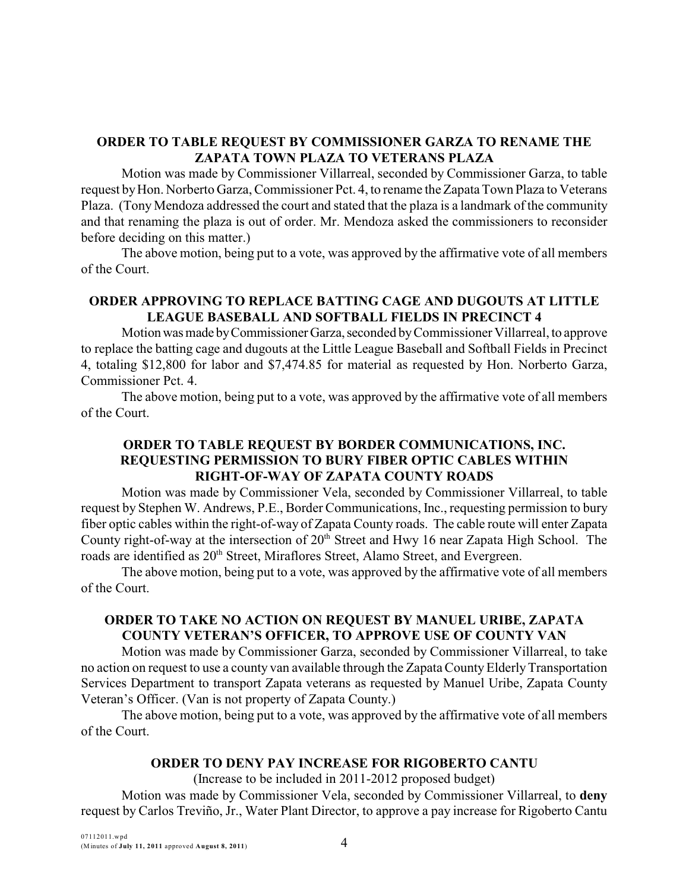# **ORDER TO TABLE REQUEST BY COMMISSIONER GARZA TO RENAME THE ZAPATA TOWN PLAZA TO VETERANS PLAZA**

Motion was made by Commissioner Villarreal, seconded by Commissioner Garza, to table request by Hon. Norberto Garza, Commissioner Pct. 4, to rename the Zapata Town Plaza to Veterans Plaza. (Tony Mendoza addressed the court and stated that the plaza is a landmark of the community and that renaming the plaza is out of order. Mr. Mendoza asked the commissioners to reconsider before deciding on this matter.)

The above motion, being put to a vote, was approved by the affirmative vote of all members of the Court.

## **ORDER APPROVING TO REPLACE BATTING CAGE AND DUGOUTS AT LITTLE LEAGUE BASEBALL AND SOFTBALL FIELDS IN PRECINCT 4**

Motion was made by Commissioner Garza, seconded by Commissioner Villarreal, to approve to replace the batting cage and dugouts at the Little League Baseball and Softball Fields in Precinct 4, totaling \$12,800 for labor and \$7,474.85 for material as requested by Hon. Norberto Garza, Commissioner Pct. 4.

The above motion, being put to a vote, was approved by the affirmative vote of all members of the Court.

## **ORDER TO TABLE REQUEST BY BORDER COMMUNICATIONS, INC. REQUESTING PERMISSION TO BURY FIBER OPTIC CABLES WITHIN RIGHT-OF-WAY OF ZAPATA COUNTY ROADS**

Motion was made by Commissioner Vela, seconded by Commissioner Villarreal, to table request by Stephen W. Andrews, P.E., Border Communications, Inc., requesting permission to bury fiber optic cables within the right-of-way of Zapata County roads. The cable route will enter Zapata County right-of-way at the intersection of  $20<sup>th</sup>$  Street and Hwy 16 near Zapata High School. The roads are identified as 20<sup>th</sup> Street, Miraflores Street, Alamo Street, and Evergreen.

The above motion, being put to a vote, was approved by the affirmative vote of all members of the Court.

## **ORDER TO TAKE NO ACTION ON REQUEST BY MANUEL URIBE, ZAPATA COUNTY VETERAN'S OFFICER, TO APPROVE USE OF COUNTY VAN**

Motion was made by Commissioner Garza, seconded by Commissioner Villarreal, to take no action on request to use a county van available through the Zapata County Elderly Transportation Services Department to transport Zapata veterans as requested by Manuel Uribe, Zapata County Veteran's Officer. (Van is not property of Zapata County.)

The above motion, being put to a vote, was approved by the affirmative vote of all members of the Court.

### **ORDER TO DENY PAY INCREASE FOR RIGOBERTO CANTU**

(Increase to be included in 2011-2012 proposed budget) Motion was made by Commissioner Vela, seconded by Commissioner Villarreal, to **deny** request by Carlos Treviño, Jr., Water Plant Director, to approve a pay increase for Rigoberto Cantu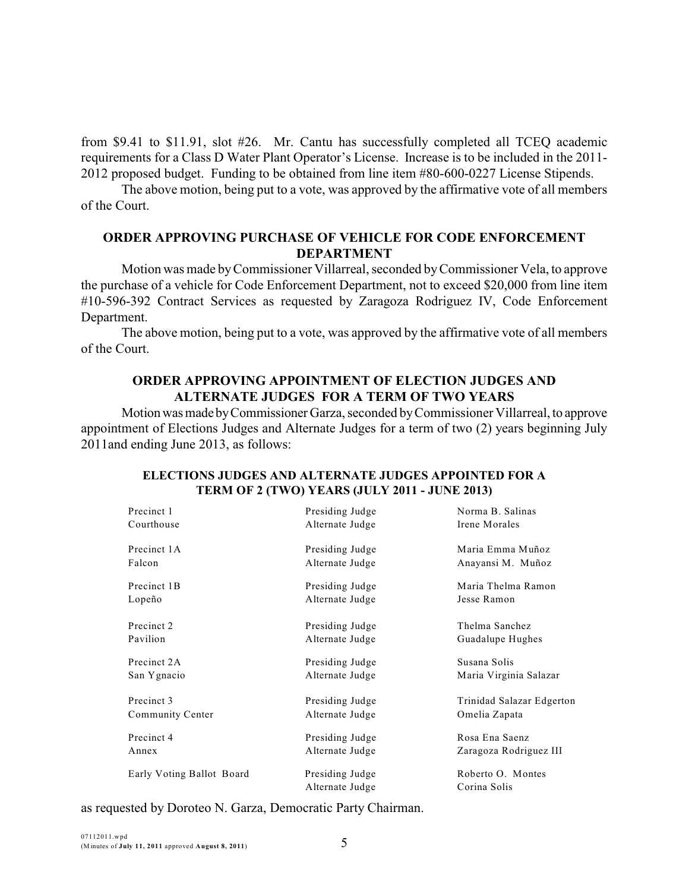from \$9.41 to \$11.91, slot #26. Mr. Cantu has successfully completed all TCEQ academic requirements for a Class D Water Plant Operator's License. Increase is to be included in the 2011- 2012 proposed budget. Funding to be obtained from line item #80-600-0227 License Stipends.

The above motion, being put to a vote, was approved by the affirmative vote of all members of the Court.

### **ORDER APPROVING PURCHASE OF VEHICLE FOR CODE ENFORCEMENT DEPARTMENT**

Motion was made byCommissioner Villarreal, seconded byCommissioner Vela, to approve the purchase of a vehicle for Code Enforcement Department, not to exceed \$20,000 from line item #10-596-392 Contract Services as requested by Zaragoza Rodriguez IV, Code Enforcement Department.

The above motion, being put to a vote, was approved by the affirmative vote of all members of the Court.

### **ORDER APPROVING APPOINTMENT OF ELECTION JUDGES AND ALTERNATE JUDGES FOR A TERM OF TWO YEARS**

Motion was made by Commissioner Garza, seconded by Commissioner Villarreal, to approve appointment of Elections Judges and Alternate Judges for a term of two (2) years beginning July 2011and ending June 2013, as follows:

| Precinct 1                | Presiding Judge                    | Norma B. Salinas                  |
|---------------------------|------------------------------------|-----------------------------------|
| Courthouse                | Alternate Judge                    | Irene Morales                     |
| Precinct 1A               | Presiding Judge                    | Maria Emma Muñoz                  |
| Falcon                    | Alternate Judge                    | Anayansi M. Muñoz                 |
| Precinct 1B               | Presiding Judge                    | Maria Thelma Ramon                |
| Lopeño                    | Alternate Judge                    | Jesse Ramon                       |
| Precinct 2                | Presiding Judge                    | Thelma Sanchez                    |
| Pavilion                  | Alternate Judge                    | Guadalupe Hughes                  |
| Precinct 2A               | Presiding Judge                    | Susana Solis                      |
| San Ygnacio               | Alternate Judge                    | Maria Virginia Salazar            |
| Precinct 3                | Presiding Judge                    | Trinidad Salazar Edgerton         |
| Community Center          | Alternate Judge                    | Omelia Zapata                     |
| Precinct 4                | Presiding Judge                    | Rosa Ena Saenz                    |
| Annex                     | Alternate Judge                    | Zaragoza Rodriguez III            |
| Early Voting Ballot Board | Presiding Judge<br>Alternate Judge | Roberto O. Montes<br>Corina Solis |

#### **ELECTIONS JUDGES AND ALTERNATE JUDGES APPOINTED FOR A TERM OF 2 (TWO) YEARS (JULY 2011 - JUNE 2013)**

as requested by Doroteo N. Garza, Democratic Party Chairman.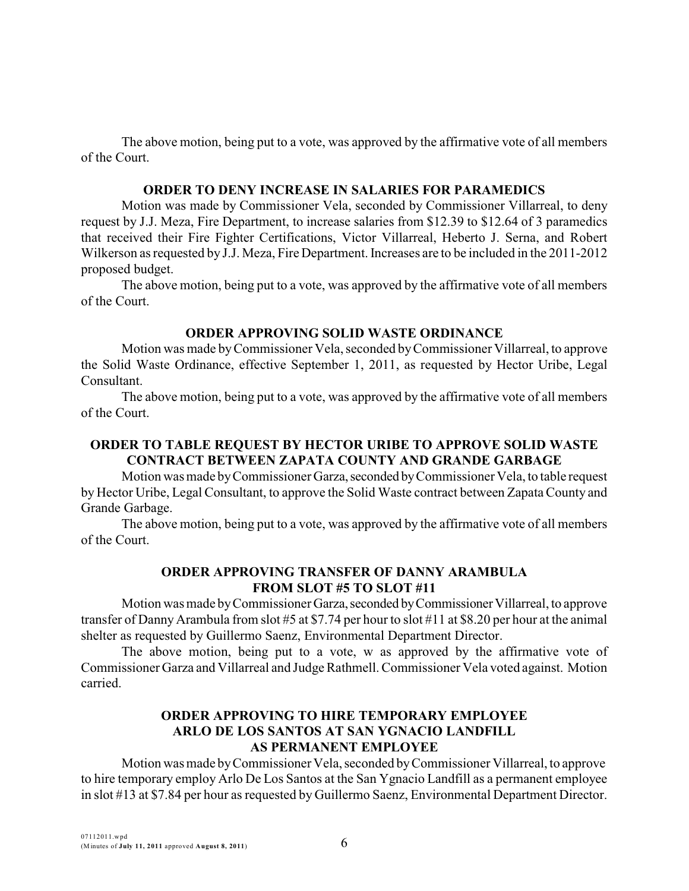The above motion, being put to a vote, was approved by the affirmative vote of all members of the Court.

### **ORDER TO DENY INCREASE IN SALARIES FOR PARAMEDICS**

Motion was made by Commissioner Vela, seconded by Commissioner Villarreal, to deny request by J.J. Meza, Fire Department, to increase salaries from \$12.39 to \$12.64 of 3 paramedics that received their Fire Fighter Certifications, Victor Villarreal, Heberto J. Serna, and Robert Wilkerson as requested by J.J. Meza, Fire Department. Increases are to be included in the 2011-2012 proposed budget.

The above motion, being put to a vote, was approved by the affirmative vote of all members of the Court.

#### **ORDER APPROVING SOLID WASTE ORDINANCE**

Motion was made byCommissioner Vela, seconded byCommissioner Villarreal, to approve the Solid Waste Ordinance, effective September 1, 2011, as requested by Hector Uribe, Legal Consultant.

The above motion, being put to a vote, was approved by the affirmative vote of all members of the Court.

## **ORDER TO TABLE REQUEST BY HECTOR URIBE TO APPROVE SOLID WASTE CONTRACT BETWEEN ZAPATA COUNTY AND GRANDE GARBAGE**

Motion was made byCommissioner Garza,seconded byCommissioner Vela, to table request by Hector Uribe, Legal Consultant, to approve the Solid Waste contract between Zapata County and Grande Garbage.

The above motion, being put to a vote, was approved by the affirmative vote of all members of the Court.

# **ORDER APPROVING TRANSFER OF DANNY ARAMBULA FROM SLOT #5 TO SLOT #11**

Motion was made by Commissioner Garza, seconded by Commissioner Villarreal, to approve transfer of DannyArambula from slot #5 at \$7.74 per hour to slot #11 at \$8.20 per hour at the animal shelter as requested by Guillermo Saenz, Environmental Department Director.

The above motion, being put to a vote, w as approved by the affirmative vote of Commissioner Garza and Villarreal and Judge Rathmell. Commissioner Vela voted against. Motion carried.

# **ORDER APPROVING TO HIRE TEMPORARY EMPLOYEE ARLO DE LOS SANTOS AT SAN YGNACIO LANDFILL AS PERMANENT EMPLOYEE**

Motion was made byCommissioner Vela, seconded byCommissioner Villarreal, to approve to hire temporary employ Arlo De Los Santos at the San Ygnacio Landfill as a permanent employee in slot #13 at \$7.84 per hour as requested by Guillermo Saenz, Environmental Department Director.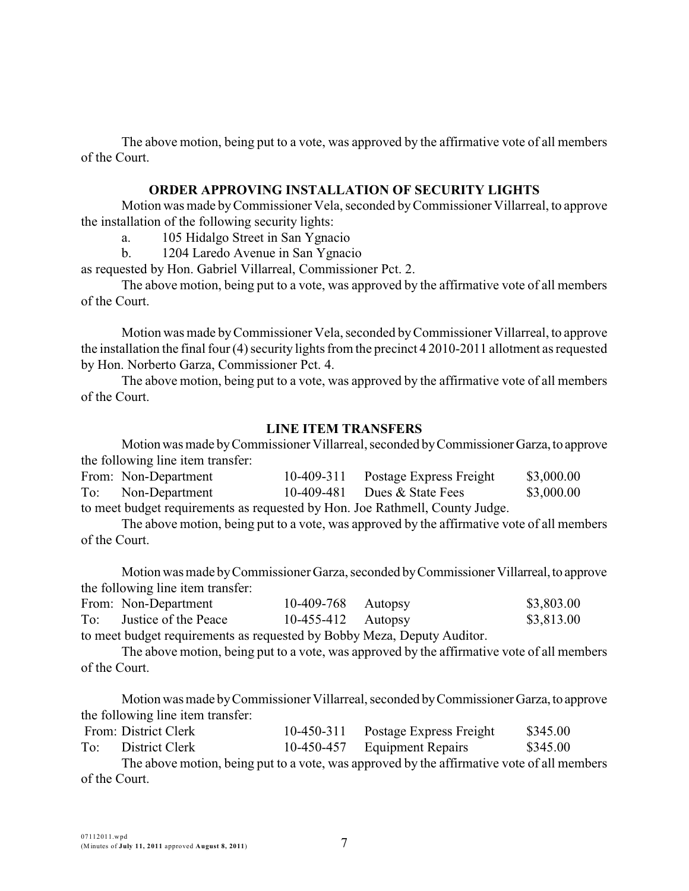The above motion, being put to a vote, was approved by the affirmative vote of all members of the Court.

#### **ORDER APPROVING INSTALLATION OF SECURITY LIGHTS**

Motion was made byCommissioner Vela, seconded byCommissioner Villarreal, to approve the installation of the following security lights:

a. 105 Hidalgo Street in San Ygnacio

b. 1204 Laredo Avenue in San Ygnacio

as requested by Hon. Gabriel Villarreal, Commissioner Pct. 2.

The above motion, being put to a vote, was approved by the affirmative vote of all members of the Court.

Motion was made byCommissioner Vela, seconded byCommissioner Villarreal, to approve the installation the final four (4) security lights from the precinct 4 2010-2011 allotment as requested by Hon. Norberto Garza, Commissioner Pct. 4.

The above motion, being put to a vote, was approved by the affirmative vote of all members of the Court.

#### **LINE ITEM TRANSFERS**

Motion was made by Commissioner Villarreal, seconded by Commissioner Garza, to approve the following line item transfer:

| From: Non-Department                                                         | 10-409-311 | Postage Express Freight        | \$3,000.00 |
|------------------------------------------------------------------------------|------------|--------------------------------|------------|
| To: Non-Department                                                           |            | 10-409-481 Dues $&$ State Fees | \$3,000.00 |
| to meet budget requirements as requested by Hon. Joe Rathmell, County Judge. |            |                                |            |

The above motion, being put to a vote, was approved by the affirmative vote of all members of the Court.

Motion was made byCommissioner Garza, seconded byCommissionerVillarreal,to approve the following line item transfer:

| From: Non-Department                                                                                                                                                                                                             | 10-409-768 Autopsy   |                | \$3,803.00 |
|----------------------------------------------------------------------------------------------------------------------------------------------------------------------------------------------------------------------------------|----------------------|----------------|------------|
| To: Justice of the Peace                                                                                                                                                                                                         | $10-455-412$ Autopsy |                | \$3,813.00 |
| $\mathbf{A}$ , and the set of the set of the set of the set of the set of the set of the set of the set of the set of the set of the set of the set of the set of the set of the set of the set of the set of the set of the set |                      | $\blacksquare$ |            |

to meet budget requirements as requested by Bobby Meza, Deputy Auditor.

The above motion, being put to a vote, was approved by the affirmative vote of all members of the Court.

Motion was made byCommissioner Villarreal, seconded byCommissionerGarza,to approve the following line item transfer:

|     | From: District Clerk | 10-450-311 | Postage Express Freight      | \$345.00 |
|-----|----------------------|------------|------------------------------|----------|
| To: | District Clerk       |            | 10-450-457 Equipment Repairs | \$345.00 |

The above motion, being put to a vote, was approved by the affirmative vote of all members of the Court.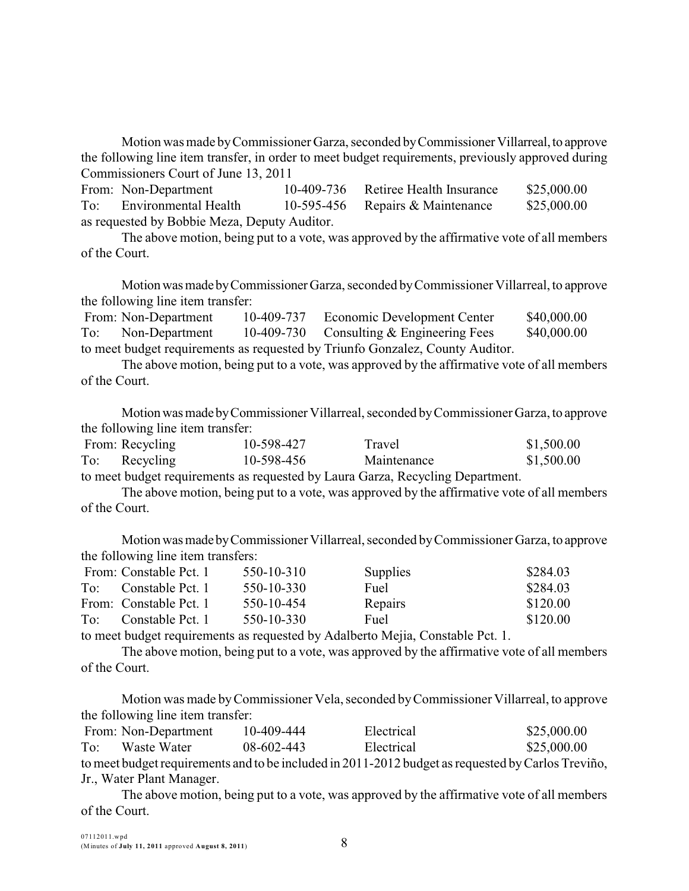Motion was made by Commissioner Garza, seconded by Commissioner Villarreal, to approve the following line item transfer, in order to meet budget requirements, previously approved during Commissioners Court of June 13, 2011

|                                              | From: Non-Department | 10-409-736 | Retiree Health Insurance | \$25,000.00 |  |  |  |
|----------------------------------------------|----------------------|------------|--------------------------|-------------|--|--|--|
| To:                                          | Environmental Health | 10-595-456 | Repairs & Maintenance    | \$25,000.00 |  |  |  |
| as requested by Bobbie Meza, Deputy Auditor. |                      |            |                          |             |  |  |  |

The above motion, being put to a vote, was approved by the affirmative vote of all members of the Court.

Motionwasmade byCommissionerGarza, seconded byCommissioner Villarreal, to approve the following line item transfer:

|                                                                               | From: Non-Department | 10-409-737 | Economic Development Center              | \$40,000.00 |  |  |
|-------------------------------------------------------------------------------|----------------------|------------|------------------------------------------|-------------|--|--|
| To:                                                                           | Non-Department       |            | 10-409-730 Consulting & Engineering Fees | \$40,000.00 |  |  |
| to meet budget requirements as requested by Triunfo Gonzalez, County Auditor. |                      |            |                                          |             |  |  |

The above motion, being put to a vote, was approved by the affirmative vote of all members of the Court.

Motion was made by Commissioner Villarreal, seconded by Commissioner Garza, to approve the following line item transfer:

| From: Recycling | 10-598-427 |  | Travel      |  |  | \$1,500.00 |
|-----------------|------------|--|-------------|--|--|------------|
| To: Recycling   | 10-598-456 |  | Maintenance |  |  | \$1,500.00 |
|                 |            |  |             |  |  |            |

to meet budget requirements as requested by Laura Garza, Recycling Department.

The above motion, being put to a vote, was approved by the affirmative vote of all members of the Court.

Motionwasmade byCommissioner Villarreal, seconded byCommissioner Garza, to approve the following line item transfers:

|     | From: Constable Pct. 1 | 550-10-310 | Supplies | \$284.03 |
|-----|------------------------|------------|----------|----------|
| To: | Constable Pct. 1       | 550-10-330 | Fuel     | \$284.03 |
|     | From: Constable Pct. 1 | 550-10-454 | Repairs  | \$120.00 |
| To: | Constable Pct. 1       | 550-10-330 | Fuel     | \$120.00 |

to meet budget requirements as requested by Adalberto Mejia, Constable Pct. 1.

The above motion, being put to a vote, was approved by the affirmative vote of all members of the Court.

Motion was made byCommissioner Vela, seconded byCommissioner Villarreal, to approve the following line item transfer:

|     | From: Non-Department      | 10-409-444 | Electrical                                                                                         | \$25,000.00 |
|-----|---------------------------|------------|----------------------------------------------------------------------------------------------------|-------------|
| To: | Waste Water               | 08-602-443 | Electrical                                                                                         | \$25,000.00 |
|     |                           |            | to meet budget requirements and to be included in 2011-2012 budget as requested by Carlos Treviño, |             |
|     | Jr., Water Plant Manager. |            |                                                                                                    |             |

The above motion, being put to a vote, was approved by the affirmative vote of all members of the Court.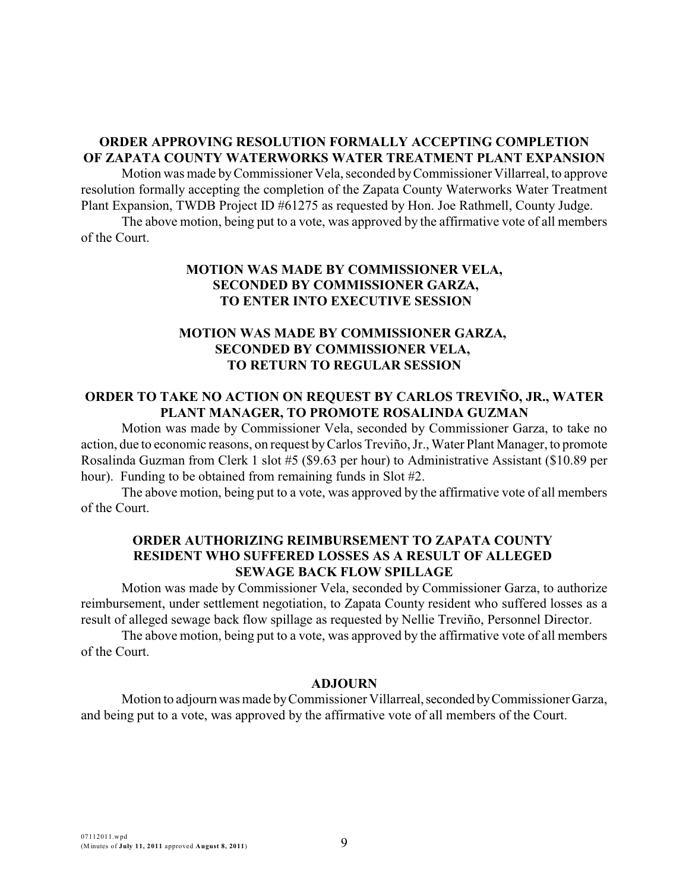# **ORDER APPROVING RESOLUTION FORMALLY ACCEPTING COMPLETION OF ZAPATA COUNTY WATERWORKS WATER TREATMENT PLANT EXPANSION**

Motion was made byCommissioner Vela, seconded byCommissioner Villarreal, to approve resolution formally accepting the completion of the Zapata County Waterworks Water Treatment Plant Expansion, TWDB Project ID #61275 as requested by Hon. Joe Rathmell, County Judge.

The above motion, being put to a vote, was approved by the affirmative vote of all members of the Court.

### **MOTION WAS MADE BY COMMISSIONER VELA, SECONDED BY COMMISSIONER GARZA, TO ENTER INTO EXECUTIVE SESSION**

## **MOTION WAS MADE BY COMMISSIONER GARZA, SECONDED BY COMMISSIONER VELA, TO RETURN TO REGULAR SESSION**

### **ORDER TO TAKE NO ACTION ON REQUEST BY CARLOS TREVIÑO, JR., WATER PLANT MANAGER, TO PROMOTE ROSALINDA GUZMAN**

Motion was made by Commissioner Vela, seconded by Commissioner Garza, to take no action, due to economic reasons, on request byCarlos Treviño, Jr., Water Plant Manager, to promote Rosalinda Guzman from Clerk 1 slot #5 (\$9.63 per hour) to Administrative Assistant (\$10.89 per hour). Funding to be obtained from remaining funds in Slot #2.

The above motion, being put to a vote, was approved by the affirmative vote of all members of the Court.

#### **ORDER AUTHORIZING REIMBURSEMENT TO ZAPATA COUNTY RESIDENT WHO SUFFERED LOSSES AS A RESULT OF ALLEGED SEWAGE BACK FLOW SPILLAGE**

Motion was made by Commissioner Vela, seconded by Commissioner Garza, to authorize reimbursement, under settlement negotiation, to Zapata County resident who suffered losses as a result of alleged sewage back flow spillage as requested by Nellie Treviño, Personnel Director.

The above motion, being put to a vote, was approved by the affirmative vote of all members of the Court.

#### **ADJOURN**

Motion to adjourn was made by Commissioner Villarreal, seconded by Commissioner Garza, and being put to a vote, was approved by the affirmative vote of all members of the Court.